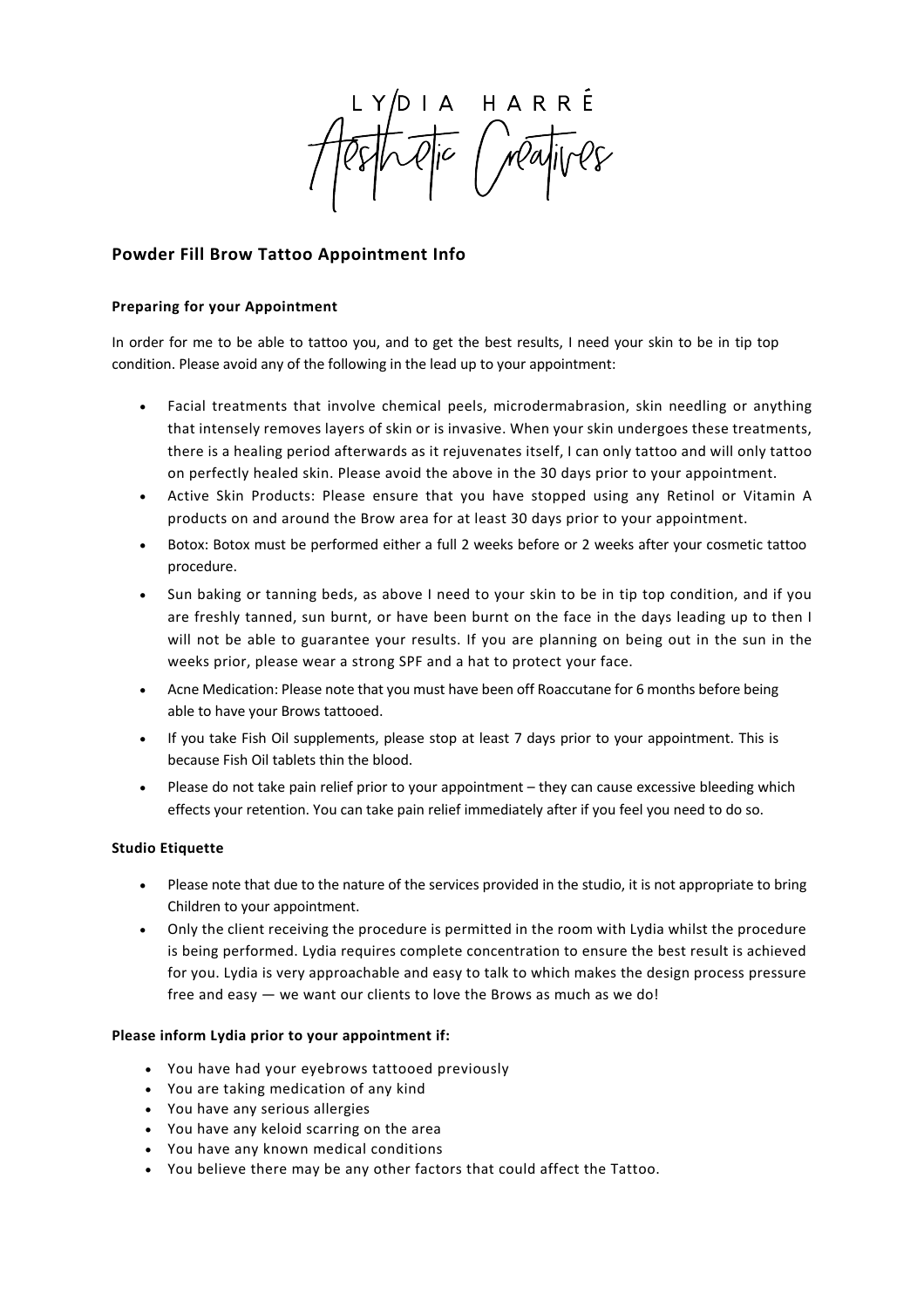HARRÉ<br>Mayives

# **Powder Fill Brow Tattoo Appointment Info**

## **Preparing for your Appointment**

In order for me to be able to tattoo you, and to get the best results, I need your skin to be in tip top condition. Please avoid any of the following in the lead up to your appointment:

- Facial treatments that involve chemical peels, microdermabrasion, skin needling or anything that intensely removes layers of skin or is invasive. When your skin undergoes these treatments, there is a healing period afterwards as it rejuvenates itself, I can only tattoo and will only tattoo on perfectly healed skin. Please avoid the above in the 30 days prior to your appointment.
- Active Skin Products: Please ensure that you have stopped using any Retinol or Vitamin A products on and around the Brow area for at least 30 days prior to your appointment.
- Botox: Botox must be performed either a full 2 weeks before or 2 weeks after your cosmetic tattoo procedure.
- Sun baking or tanning beds, as above I need to your skin to be in tip top condition, and if you are freshly tanned, sun burnt, or have been burnt on the face in the days leading up to then I will not be able to guarantee your results. If you are planning on being out in the sun in the weeks prior, please wear a strong SPF and a hat to protect your face.
- Acne Medication: Please note that you must have been off Roaccutane for 6 months before being able to have your Brows tattooed.
- If you take Fish Oil supplements, please stop at least 7 days prior to your appointment. This is because Fish Oil tablets thin the blood.
- Please do not take pain relief prior to your appointment they can cause excessive bleeding which effects your retention. You can take pain relief immediately after if you feel you need to do so.

## **Studio Etiquette**

- Please note that due to the nature of the services provided in the studio, it is not appropriate to bring Children to your appointment.
- Only the client receiving the procedure is permitted in the room with Lydia whilst the procedure is being performed. Lydia requires complete concentration to ensure the best result is achieved for you. Lydia is very approachable and easy to talk to which makes the design process pressure free and easy — we want our clients to love the Brows as much as we do!

## **Please inform Lydia prior to your appointment if:**

- You have had your eyebrows tattooed previously
- You are taking medication of any kind
- You have any serious allergies
- You have any keloid scarring on the area
- You have any known medical conditions
- You believe there may be any other factors that could affect the Tattoo.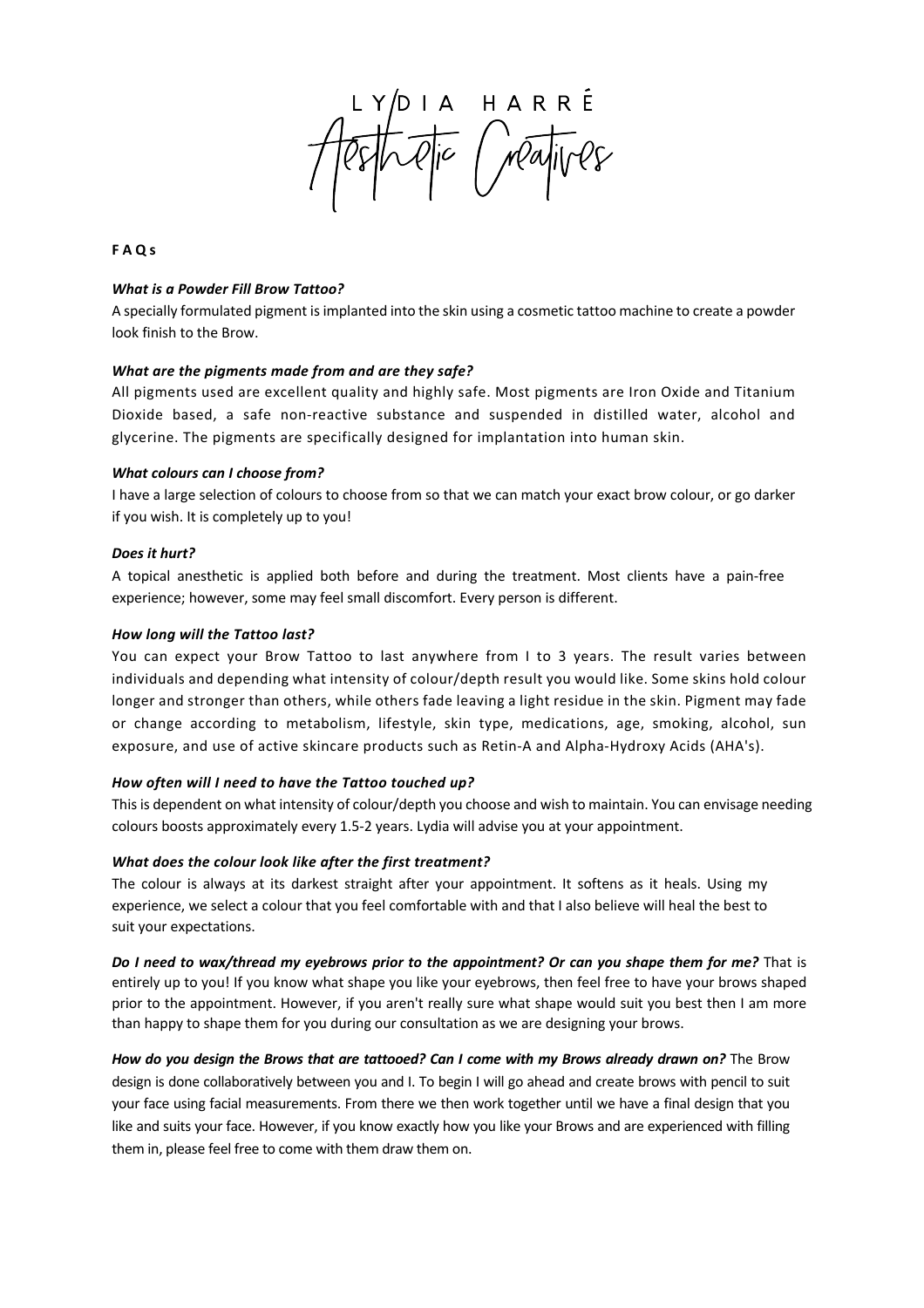IA HARRÉ<br>Qic Mayives

## **FAQs**

### *What is a Powder Fill Brow Tattoo?*

A specially formulated pigment is implanted into the skin using a cosmetic tattoo machine to create a powder look finish to the Brow.

#### *What are the pigments made from and are they safe?*

All pigments used are excellent quality and highly safe. Most pigments are Iron Oxide and Titanium Dioxide based, a safe non-reactive substance and suspended in distilled water, alcohol and glycerine. The pigments are specifically designed for implantation into human skin.

#### *What colours can I choose from?*

I have a large selection of colours to choose from so that we can match your exact brow colour, or go darker if you wish. It is completely up to you!

#### *Does it hurt?*

A topical anesthetic is applied both before and during the treatment. Most clients have a pain-free experience; however, some may feel small discomfort. Every person is different.

#### *How long will the Tattoo last?*

You can expect your Brow Tattoo to last anywhere from I to 3 years. The result varies between individuals and depending what intensity of colour/depth result you would like. Some skins hold colour longer and stronger than others, while others fade leaving a light residue in the skin. Pigment may fade or change according to metabolism, lifestyle, skin type, medications, age, smoking, alcohol, sun exposure, and use of active skincare products such as Retin-A and Alpha-Hydroxy Acids (AHA's).

#### *How often will I need to have the Tattoo touched up?*

This is dependent on what intensity of colour/depth you choose and wish to maintain. You can envisage needing colours boosts approximately every 1.5-2 years. Lydia will advise you at your appointment.

#### *What does the colour look like after the first treatment?*

The colour is always at its darkest straight after your appointment. It softens as it heals. Using my experience, we select a colour that you feel comfortable with and that I also believe will heal the best to suit your expectations.

*Do I need to wax/thread my eyebrows prior to the appointment? Or can you shape them for me?* That is entirely up to you! If you know what shape you like your eyebrows, then feel free to have your brows shaped prior to the appointment. However, if you aren't really sure what shape would suit you best then I am more than happy to shape them for you during our consultation as we are designing your brows.

How do you design the Brows that are tattooed? Can I come with my Brows already drawn on? The Brow design is done collaboratively between you and I. To begin I will go ahead and create brows with pencil to suit your face using facial measurements. From there we then work together until we have a final design that you like and suits your face. However, if you know exactly how you like your Brows and are experienced with filling them in, please feel free to come with them draw them on.